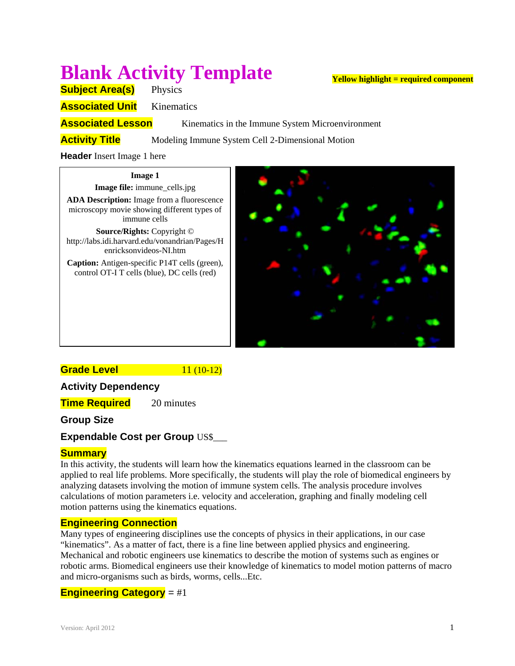# **Blank Activity Template**

**Subject Area(s)** Physics

**Associated Unit** Kinematics

**Associated Lesson** Kinematics in the Immune System Microenvironment

**Activity Title** Modeling Immune System Cell 2-Dimensional Motion

**Header** Insert Image 1 here

#### **Image 1**

**Image file:** immune\_cells.jpg **ADA Description:** Image from a fluorescence microscopy movie showing different types of immune cells

**Source/Rights:** Copyright © http://labs.idi.harvard.edu/vonandrian/Pages/H enricksonvideos-NI.htm

**Caption:** Antigen-specific P14T cells (green), control OT-I T cells (blue), DC cells (red)



# **Grade Level 11 (10-12)**

# **Activity Dependency**

**Time Required** 20 minutes

# **Group Size**

# **Expendable Cost per Group US\$\_\_\_**

## **Summary**

In this activity, the students will learn how the kinematics equations learned in the classroom can be applied to real life problems. More specifically, the students will play the role of biomedical engineers by analyzing datasets involving the motion of immune system cells. The analysis procedure involves calculations of motion parameters i.e. velocity and acceleration, graphing and finally modeling cell motion patterns using the kinematics equations.

## **Engineering Connection**

Many types of engineering disciplines use the concepts of physics in their applications, in our case "kinematics". As a matter of fact, there is a fine line between applied physics and engineering. Mechanical and robotic engineers use kinematics to describe the motion of systems such as engines or robotic arms. Biomedical engineers use their knowledge of kinematics to model motion patterns of macro and micro-organisms such as birds, worms, cells...Etc.

## **Engineering Category** = #1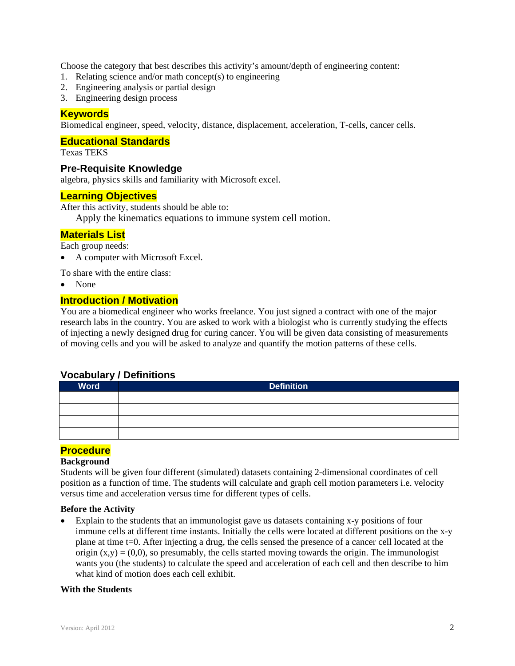Choose the category that best describes this activity's amount/depth of engineering content:

- 1. Relating science and/or math concept(s) to engineering
- 2. Engineering analysis or partial design
- 3. Engineering design process

## **Keywords**

Biomedical engineer, speed, velocity, distance, displacement, acceleration, T-cells, cancer cells.

#### **Educational Standards**

Texas TEKS

#### **Pre-Requisite Knowledge**

algebra, physics skills and familiarity with Microsoft excel.

#### **Learning Objectives**

After this activity, students should be able to:

Apply the kinematics equations to immune system cell motion.

#### **Materials List**

Each group needs:

A computer with Microsoft Excel.

To share with the entire class:

None

#### **Introduction / Motivation**

You are a biomedical engineer who works freelance. You just signed a contract with one of the major research labs in the country. You are asked to work with a biologist who is currently studying the effects of injecting a newly designed drug for curing cancer. You will be given data consisting of measurements of moving cells and you will be asked to analyze and quantify the motion patterns of these cells.

#### **Vocabulary / Definitions**

| <b>Word</b> | <b>Definition</b> |
|-------------|-------------------|
|             |                   |
|             |                   |
|             |                   |
|             |                   |

#### **Procedure**

#### **Background**

Students will be given four different (simulated) datasets containing 2-dimensional coordinates of cell position as a function of time. The students will calculate and graph cell motion parameters i.e. velocity versus time and acceleration versus time for different types of cells.

#### **Before the Activity**

 Explain to the students that an immunologist gave us datasets containing x-y positions of four immune cells at different time instants. Initially the cells were located at different positions on the x-y plane at time t=0. After injecting a drug, the cells sensed the presence of a cancer cell located at the origin  $(x,y) = (0,0)$ , so presumably, the cells started moving towards the origin. The immunologist wants you (the students) to calculate the speed and acceleration of each cell and then describe to him what kind of motion does each cell exhibit.

#### **With the Students**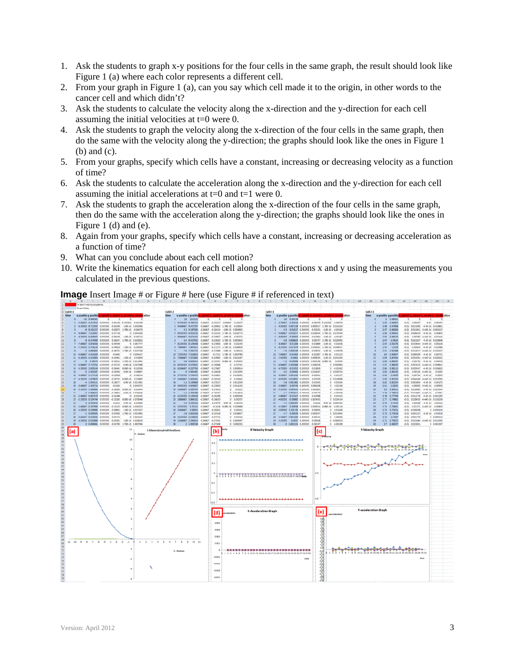- 1. Ask the students to graph x-y positions for the four cells in the same graph, the result should look like Figure 1 (a) where each color represents a different cell.
- 2. From your graph in Figure 1 (a), can you say which cell made it to the origin, in other words to the cancer cell and which didn't?
- 3. Ask the students to calculate the velocity along the x-direction and the y-direction for each cell assuming the initial velocities at t=0 were 0.
- 4. Ask the students to graph the velocity along the x-direction of the four cells in the same graph, then do the same with the velocity along the y-direction; the graphs should look like the ones in Figure 1 (b) and (c).
- 5. From your graphs, specify which cells have a constant, increasing or decreasing velocity as a function of time?
- 6. Ask the students to calculate the acceleration along the x-direction and the y-direction for each cell assuming the initial accelerations at  $t=0$  and  $t=1$  were 0.
- 7. Ask the students to graph the acceleration along the x-direction of the four cells in the same graph, then do the same with the acceleration along the y-direction; the graphs should look like the ones in Figure 1 (d) and (e).
- 8. Again from your graphs, specify which cells have a constant, increasing or decreasing acceleration as a function of time?
- 9. What can you conclude about each cell motion?
- 10. Write the kinematics equation for each cell along both directions x and y using the measurements you calculated in the previous questions.



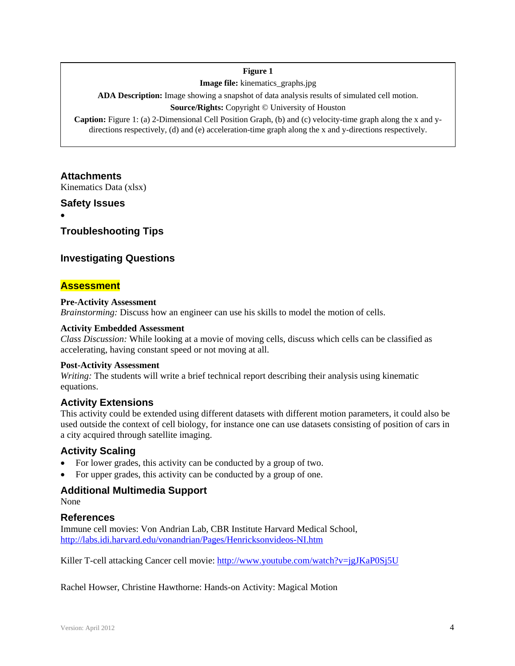#### **Figure 1**

**Image file:** kinematics\_graphs.jpg

**ADA Description:** Image showing a snapshot of data analysis results of simulated cell motion.

#### **Source/Rights:** Copyright © University of Houston

**Caption:** Figure 1: (a) 2-Dimensional Cell Position Graph, (b) and (c) velocity-time graph along the x and ydirections respectively, (d) and (e) acceleration-time graph along the x and y-directions respectively.

# **Attachments**

Kinematics Data (xlsx)

## **Safety Issues**

 $\bullet$ 

## **Troubleshooting Tips**

## **Investigating Questions**

## **Assessment**

#### **Pre-Activity Assessment**

*Brainstorming:* Discuss how an engineer can use his skills to model the motion of cells.

#### **Activity Embedded Assessment**

*Class Discussion:* While looking at a movie of moving cells, discuss which cells can be classified as accelerating, having constant speed or not moving at all.

#### **Post-Activity Assessment**

*Writing:* The students will write a brief technical report describing their analysis using kinematic equations.

#### **Activity Extensions**

This activity could be extended using different datasets with different motion parameters, it could also be used outside the context of cell biology, for instance one can use datasets consisting of position of cars in a city acquired through satellite imaging.

## **Activity Scaling**

- For lower grades, this activity can be conducted by a group of two.
- For upper grades, this activity can be conducted by a group of one.

## **Additional Multimedia Support**

None

#### **References**

Immune cell movies: Von Andrian Lab, CBR Institute Harvard Medical School, http://labs.idi.harvard.edu/vonandrian/Pages/Henricksonvideos-NI.htm

Killer T-cell attacking Cancer cell movie: http://www.youtube.com/watch?v=jgJKaP0Sj5U

Rachel Howser, Christine Hawthorne: Hands-on Activity: Magical Motion